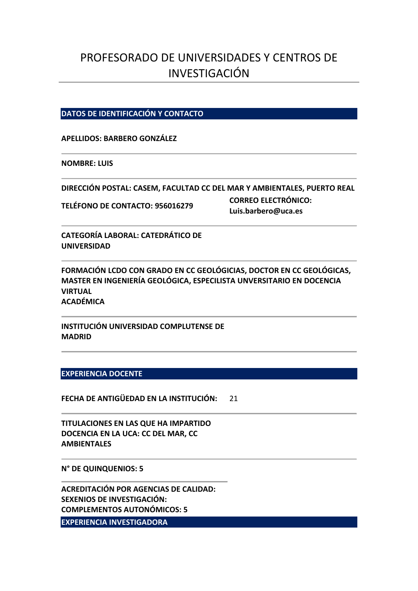# PROFESORADO DE UNIVERSIDADES Y CENTROS DE INVESTIGACIÓN

## **DATOS DE IDENTIFICACIÓN Y CONTACTO**

#### **APELLIDOS: BARBERO GONZÁLEZ**

#### **NOMBRE: LUIS**

**DIRECCIÓN POSTAL: CASEM, FACULTAD CC DEL MAR Y AMBIENTALES, PUERTO REAL**

**TELÉFONO DE CONTACTO: 956016279 CORREO ELECTRÓNICO: Luis.barbero@uca.es**

**CATEGORÍA LABORAL: CATEDRÁTICO DE UNIVERSIDAD**

**FORMACIÓN LCDO CON GRADO EN CC GEOLÓGICIAS, DOCTOR EN CC GEOLÓGICAS, MASTER EN INGENIERÍA GEOLÓGICA, ESPECILISTA UNVERSITARIO EN DOCENCIA VIRTUAL ACADÉMICA**

**INSTITUCIÓN UNIVERSIDAD COMPLUTENSE DE MADRID**

#### **EXPERIENCIA DOCENTE**

**FECHA DE ANTIGÜEDAD EN LA INSTITUCIÓN:** 21

**TITULACIONES EN LAS QUE HA IMPARTIDO DOCENCIA EN LA UCA: CC DEL MAR, CC AMBIENTALES**

**N° DE QUINQUENIOS: 5**

**ACREDITACIÓN POR AGENCIAS DE CALIDAD: SEXENIOS DE INVESTIGACIÓN: COMPLEMENTOS AUTONÓMICOS: 5**

**EXPERIENCIA INVESTIGADORA**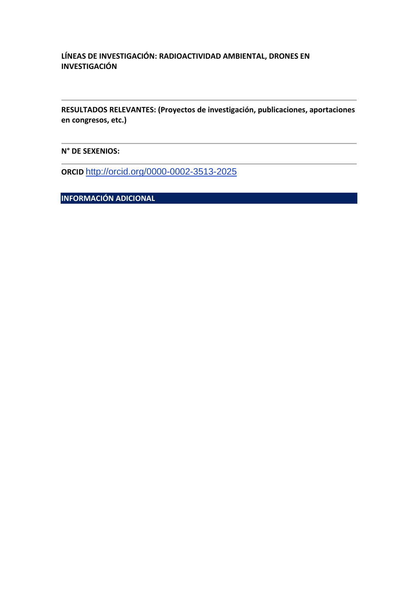## **LÍNEAS DE INVESTIGACIÓN: RADIOACTIVIDAD AMBIENTAL, DRONES EN INVESTIGACIÓN**

**RESULTADOS RELEVANTES: (Proyectos de investigación, publicaciones, aportaciones en congresos, etc.)**

**N° DE SEXENIOS:**

**ORCID** <http://orcid.org/0000-0002-3513-2025>

**INFORMACIÓN ADICIONAL**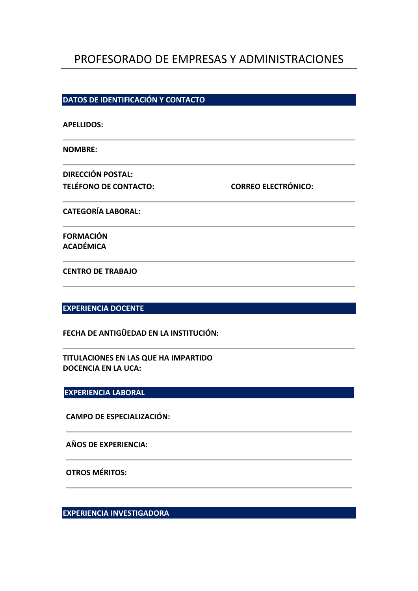## PROFESORADO DE EMPRESAS Y ADMINISTRACIONES

#### **DATOS DE IDENTIFICACIÓN Y CONTACTO**

| <b>APELLIDOS:</b>                      |                            |  |
|----------------------------------------|----------------------------|--|
| <b>NOMBRE:</b>                         |                            |  |
| <b>DIRECCIÓN POSTAL:</b>               |                            |  |
| <b>TELÉFONO DE CONTACTO:</b>           | <b>CORREO ELECTRÓNICO:</b> |  |
| <b>CATEGORÍA LABORAL:</b>              |                            |  |
| <b>FORMACIÓN</b>                       |                            |  |
| ACADÉMICA                              |                            |  |
| <b>CENTRO DE TRABAJO</b>               |                            |  |
|                                        |                            |  |
| <b>EXPERIENCIA DOCENTE</b>             |                            |  |
| FECHA DE ANTIGÜEDAD EN LA INSTITUCIÓN: |                            |  |
| TITULACIONES EN LAS OUE HA INADADTIDO  |                            |  |

**TITULACIONES EN LAS QUE HA IMPARTIDO DOCENCIA EN LA UCA:** 

## **EXPERIENCIA LABORAL**

**CAMPO DE ESPECIALIZACIÓN:**

## **AÑOS DE EXPERIENCIA:**

**OTROS MÉRITOS:**

**EXPERIENCIA INVESTIGADORA**